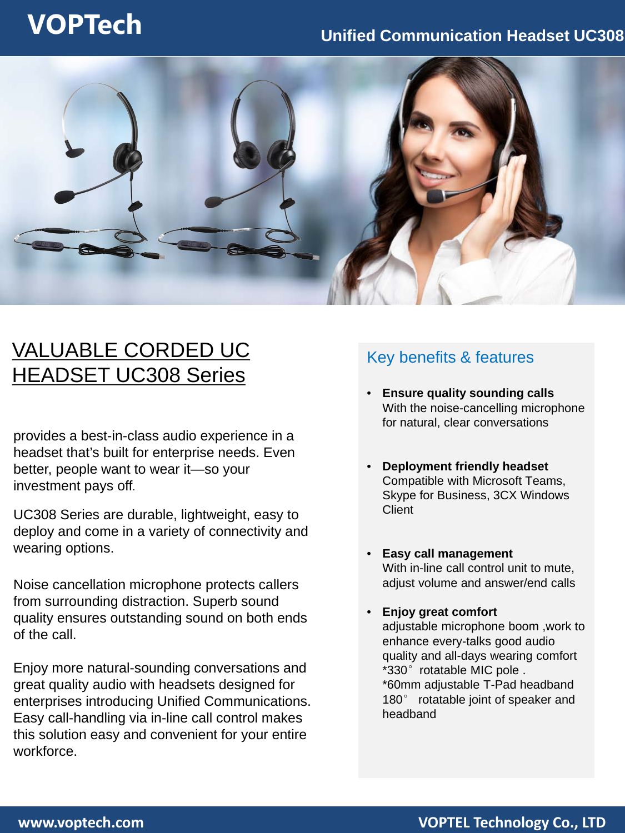## **VOPTech Unified Communication Headset UC308**



## VALUABLE CORDED UC HEADSET UC308 Series

provides a best-in-class audio experience in a headset that's built for enterprise needs. Even better, people want to wear it—so your investment pays off.

UC308 Series are durable, lightweight, easy to deploy and come in a variety of connectivity and wearing options.

Noise cancellation microphone protects callers from surrounding distraction. Superb sound quality ensures outstanding sound on both ends of the call.

Enjoy more natural-sounding conversations and great quality audio with headsets designed for enterprises introducing Unified Communications. Easy call-handling via in-line call control makes this solution easy and convenient for your entire workforce.

### Key benefits & features

- **Ensure quality sounding calls**  With the noise-cancelling microphone for natural, clear conversations
- **Deployment friendly headset**  Compatible with Microsoft Teams, Skype for Business, 3CX Windows **Client**
- **Easy call management** With in-line call control unit to mute, adjust volume and answer/end calls
- **Enjoy great comfort**  adjustable microphone boom ,work to enhance every-talks good audio quality and all-days wearing comfort \*330°rotatable MIC pole . \*60mm adjustable T-Pad headband 180° rotatable joint of speaker and headband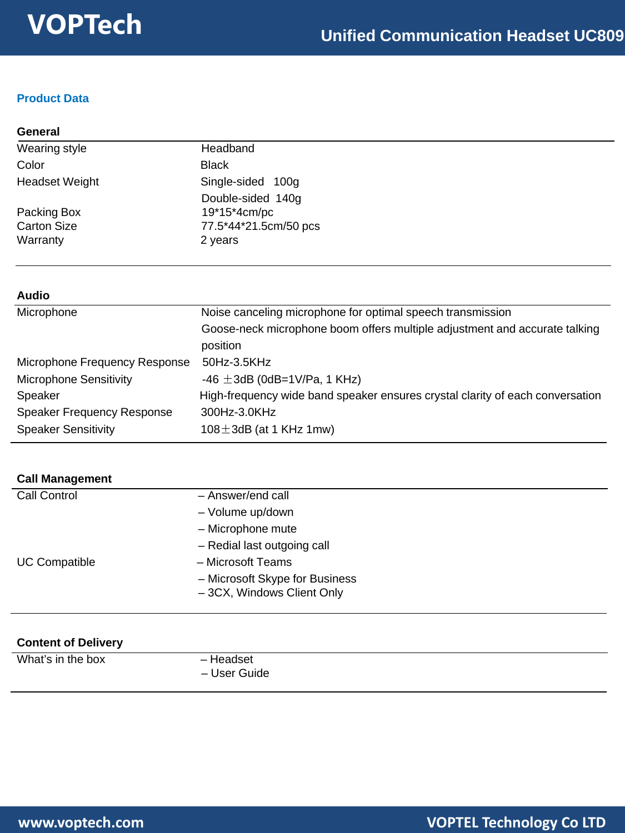### **Product Data**

| General               |                       |  |
|-----------------------|-----------------------|--|
| Wearing style         | Headband              |  |
| Color                 | <b>Black</b>          |  |
| <b>Headset Weight</b> | Single-sided 100g     |  |
|                       | Double-sided 140g     |  |
| Packing Box           | 19*15*4cm/pc          |  |
| <b>Carton Size</b>    | 77.5*44*21.5cm/50 pcs |  |
| Warranty              | 2 years               |  |

#### **Audio**

| Microphone                        | Noise canceling microphone for optimal speech transmission                    |  |  |
|-----------------------------------|-------------------------------------------------------------------------------|--|--|
|                                   | Goose-neck microphone boom offers multiple adjustment and accurate talking    |  |  |
|                                   | position                                                                      |  |  |
| Microphone Frequency Response     | 50Hz-3.5KHz                                                                   |  |  |
| <b>Microphone Sensitivity</b>     | -46 $\pm$ 3dB (0dB=1V/Pa, 1 KHz)                                              |  |  |
| Speaker                           | High-frequency wide band speaker ensures crystal clarity of each conversation |  |  |
| <b>Speaker Frequency Response</b> | 300Hz-3.0KHz                                                                  |  |  |
| <b>Speaker Sensitivity</b>        | $108 \pm 3$ dB (at 1 KHz 1mw)                                                 |  |  |

| <b>Call Management</b> |                                |
|------------------------|--------------------------------|
| Call Control           | - Answer/end call              |
|                        | - Volume up/down               |
|                        | - Microphone mute              |
|                        | - Redial last outgoing call    |
| <b>UC Compatible</b>   | - Microsoft Teams              |
|                        | - Microsoft Skype for Business |
|                        | -3CX, Windows Client Only      |

| <b>Content of Delivery</b> |                           |  |  |  |
|----------------------------|---------------------------|--|--|--|
| What's in the box          | - Headset<br>– User Guide |  |  |  |